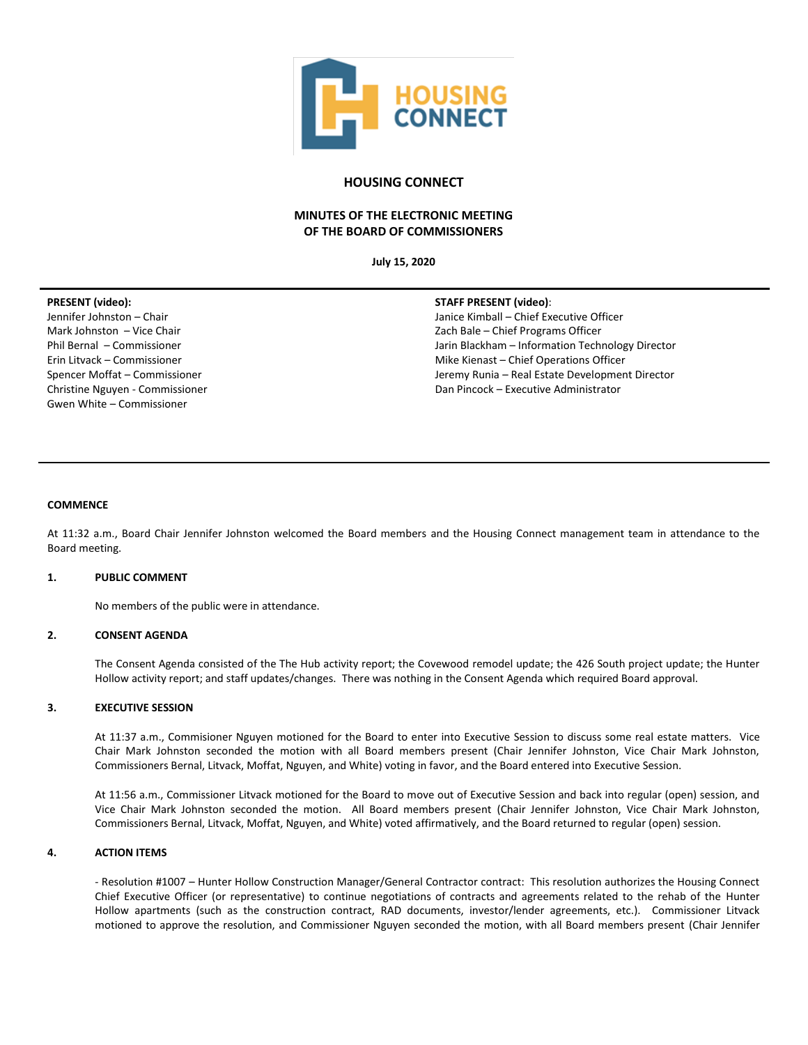

# **HOUSING CONNECT**

# **MINUTES OF THE ELECTRONIC MEETING OF THE BOARD OF COMMISSIONERS**

**July 15, 2020**

### **PRESENT (video):**

Jennifer Johnston – Chair Mark Johnston – Vice Chair Phil Bernal – Commissioner Erin Litvack – Commissioner Spencer Moffat – Commissioner Christine Nguyen - Commissioner Gwen White – Commissioner

### **STAFF PRESENT (video)**:

Janice Kimball – Chief Executive Officer Zach Bale – Chief Programs Officer Jarin Blackham – Information Technology Director Mike Kienast – Chief Operations Officer Jeremy Runia – Real Estate Development Director Dan Pincock – Executive Administrator

#### **COMMENCE**

At 11:32 a.m., Board Chair Jennifer Johnston welcomed the Board members and the Housing Connect management team in attendance to the Board meeting.

### **1. PUBLIC COMMENT**

No members of the public were in attendance.

## **2. CONSENT AGENDA**

The Consent Agenda consisted of the The Hub activity report; the Covewood remodel update; the 426 South project update; the Hunter Hollow activity report; and staff updates/changes. There was nothing in the Consent Agenda which required Board approval.

### **3. EXECUTIVE SESSION**

At 11:37 a.m., Commisioner Nguyen motioned for the Board to enter into Executive Session to discuss some real estate matters. Vice Chair Mark Johnston seconded the motion with all Board members present (Chair Jennifer Johnston, Vice Chair Mark Johnston, Commissioners Bernal, Litvack, Moffat, Nguyen, and White) voting in favor, and the Board entered into Executive Session.

At 11:56 a.m., Commissioner Litvack motioned for the Board to move out of Executive Session and back into regular (open) session, and Vice Chair Mark Johnston seconded the motion. All Board members present (Chair Jennifer Johnston, Vice Chair Mark Johnston, Commissioners Bernal, Litvack, Moffat, Nguyen, and White) voted affirmatively, and the Board returned to regular (open) session.

### **4. ACTION ITEMS**

- Resolution #1007 – Hunter Hollow Construction Manager/General Contractor contract: This resolution authorizes the Housing Connect Chief Executive Officer (or representative) to continue negotiations of contracts and agreements related to the rehab of the Hunter Hollow apartments (such as the construction contract, RAD documents, investor/lender agreements, etc.). Commissioner Litvack motioned to approve the resolution, and Commissioner Nguyen seconded the motion, with all Board members present (Chair Jennifer